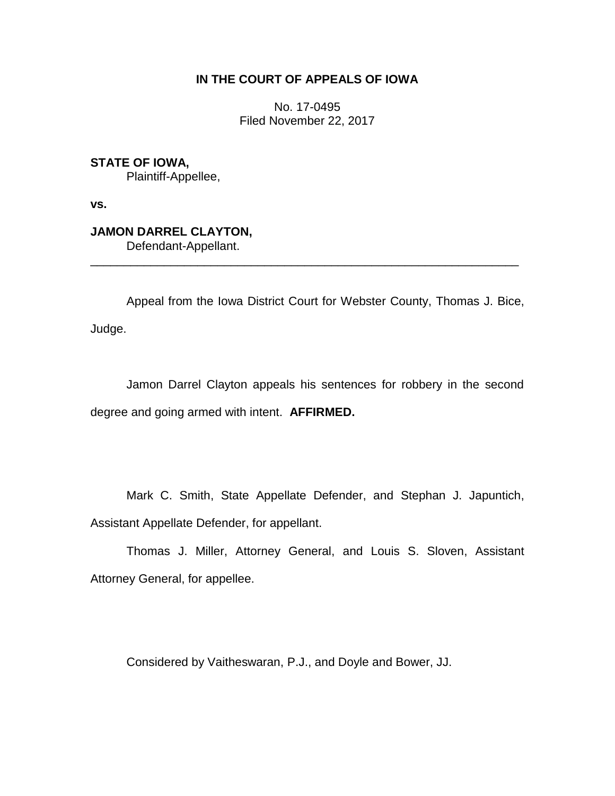# **IN THE COURT OF APPEALS OF IOWA**

No. 17-0495 Filed November 22, 2017

**STATE OF IOWA,** Plaintiff-Appellee,

**vs.**

**JAMON DARREL CLAYTON,** Defendant-Appellant.

Appeal from the Iowa District Court for Webster County, Thomas J. Bice, Judge.

\_\_\_\_\_\_\_\_\_\_\_\_\_\_\_\_\_\_\_\_\_\_\_\_\_\_\_\_\_\_\_\_\_\_\_\_\_\_\_\_\_\_\_\_\_\_\_\_\_\_\_\_\_\_\_\_\_\_\_\_\_\_\_\_

Jamon Darrel Clayton appeals his sentences for robbery in the second degree and going armed with intent. **AFFIRMED.**

Mark C. Smith, State Appellate Defender, and Stephan J. Japuntich, Assistant Appellate Defender, for appellant.

Thomas J. Miller, Attorney General, and Louis S. Sloven, Assistant Attorney General, for appellee.

Considered by Vaitheswaran, P.J., and Doyle and Bower, JJ.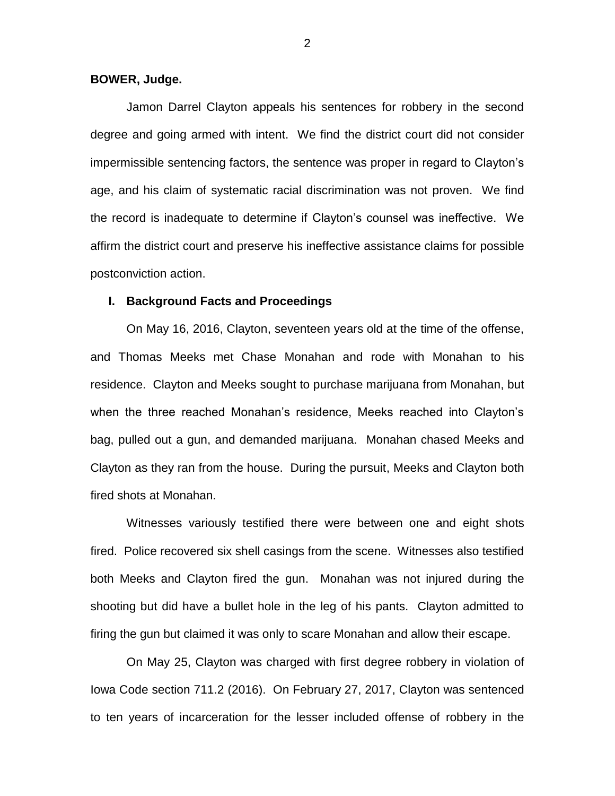## **BOWER, Judge.**

Jamon Darrel Clayton appeals his sentences for robbery in the second degree and going armed with intent. We find the district court did not consider impermissible sentencing factors, the sentence was proper in regard to Clayton's age, and his claim of systematic racial discrimination was not proven. We find the record is inadequate to determine if Clayton's counsel was ineffective. We affirm the district court and preserve his ineffective assistance claims for possible postconviction action.

## **I. Background Facts and Proceedings**

On May 16, 2016, Clayton, seventeen years old at the time of the offense, and Thomas Meeks met Chase Monahan and rode with Monahan to his residence. Clayton and Meeks sought to purchase marijuana from Monahan, but when the three reached Monahan's residence, Meeks reached into Clayton's bag, pulled out a gun, and demanded marijuana. Monahan chased Meeks and Clayton as they ran from the house. During the pursuit, Meeks and Clayton both fired shots at Monahan.

Witnesses variously testified there were between one and eight shots fired. Police recovered six shell casings from the scene. Witnesses also testified both Meeks and Clayton fired the gun. Monahan was not injured during the shooting but did have a bullet hole in the leg of his pants. Clayton admitted to firing the gun but claimed it was only to scare Monahan and allow their escape.

On May 25, Clayton was charged with first degree robbery in violation of Iowa Code section 711.2 (2016). On February 27, 2017, Clayton was sentenced to ten years of incarceration for the lesser included offense of robbery in the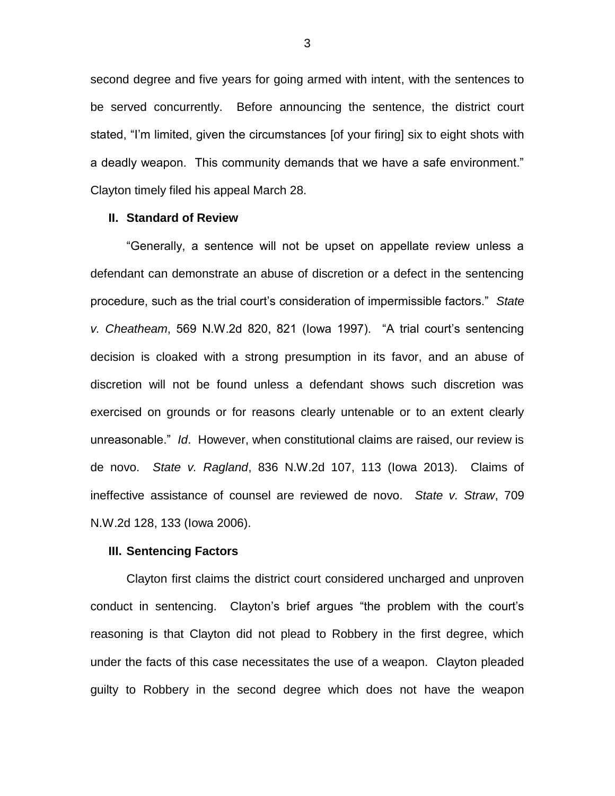second degree and five years for going armed with intent, with the sentences to be served concurrently. Before announcing the sentence, the district court stated, "I'm limited, given the circumstances [of your firing] six to eight shots with a deadly weapon. This community demands that we have a safe environment." Clayton timely filed his appeal March 28.

#### **II. Standard of Review**

"Generally, a sentence will not be upset on appellate review unless a defendant can demonstrate an abuse of discretion or a defect in the sentencing procedure, such as the trial court's consideration of impermissible factors." *State v. Cheatheam*, 569 N.W.2d 820, 821 (Iowa 1997). "A trial court's sentencing decision is cloaked with a strong presumption in its favor, and an abuse of discretion will not be found unless a defendant shows such discretion was exercised on grounds or for reasons clearly untenable or to an extent clearly unreasonable." *Id*. However, when constitutional claims are raised, our review is de novo. *State v. Ragland*, 836 N.W.2d 107, 113 (Iowa 2013). Claims of ineffective assistance of counsel are reviewed de novo. *State v. Straw*, 709 N.W.2d 128, 133 (Iowa 2006).

## **III. Sentencing Factors**

Clayton first claims the district court considered uncharged and unproven conduct in sentencing. Clayton's brief argues "the problem with the court's reasoning is that Clayton did not plead to Robbery in the first degree, which under the facts of this case necessitates the use of a weapon. Clayton pleaded guilty to Robbery in the second degree which does not have the weapon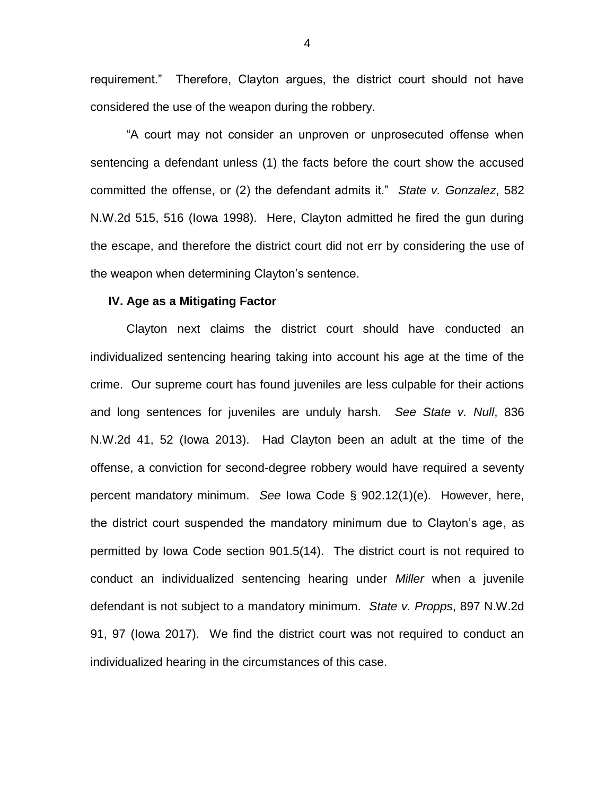requirement." Therefore, Clayton argues, the district court should not have considered the use of the weapon during the robbery.

"A court may not consider an unproven or unprosecuted offense when sentencing a defendant unless (1) the facts before the court show the accused committed the offense, or (2) the defendant admits it." *State v. Gonzalez*, 582 N.W.2d 515, 516 (Iowa 1998). Here, Clayton admitted he fired the gun during the escape, and therefore the district court did not err by considering the use of the weapon when determining Clayton's sentence.

# **IV. Age as a Mitigating Factor**

Clayton next claims the district court should have conducted an individualized sentencing hearing taking into account his age at the time of the crime. Our supreme court has found juveniles are less culpable for their actions and long sentences for juveniles are unduly harsh. *See State v. Null*, 836 N.W.2d 41, 52 (Iowa 2013). Had Clayton been an adult at the time of the offense, a conviction for second-degree robbery would have required a seventy percent mandatory minimum. *See* Iowa Code § 902.12(1)(e). However, here, the district court suspended the mandatory minimum due to Clayton's age, as permitted by Iowa Code section 901.5(14). The district court is not required to conduct an individualized sentencing hearing under *Miller* when a juvenile defendant is not subject to a mandatory minimum. *State v. Propps*, 897 N.W.2d 91, 97 (Iowa 2017). We find the district court was not required to conduct an individualized hearing in the circumstances of this case.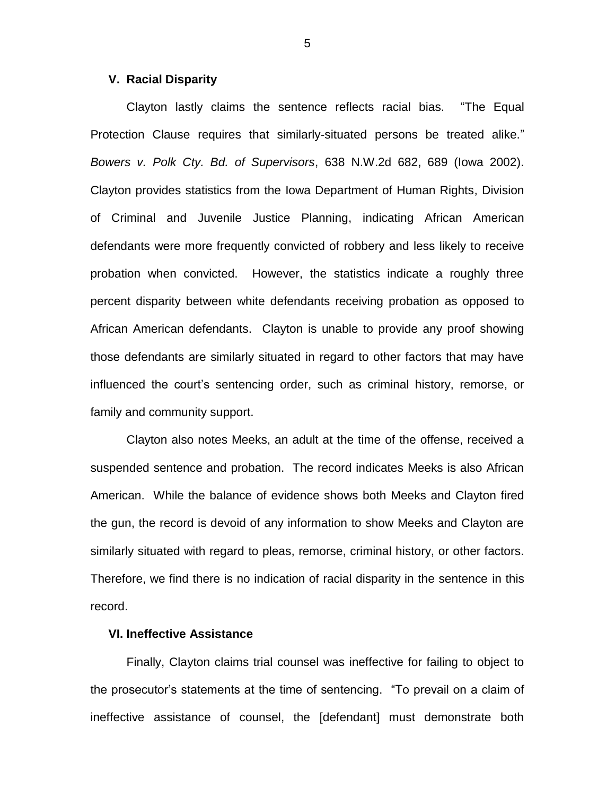## **V. Racial Disparity**

Clayton lastly claims the sentence reflects racial bias. "The Equal Protection Clause requires that similarly-situated persons be treated alike." *Bowers v. Polk Cty. Bd. of Supervisors*, 638 N.W.2d 682, 689 (Iowa 2002). Clayton provides statistics from the Iowa Department of Human Rights, Division of Criminal and Juvenile Justice Planning, indicating African American defendants were more frequently convicted of robbery and less likely to receive probation when convicted. However, the statistics indicate a roughly three percent disparity between white defendants receiving probation as opposed to African American defendants. Clayton is unable to provide any proof showing those defendants are similarly situated in regard to other factors that may have influenced the court's sentencing order, such as criminal history, remorse, or family and community support.

Clayton also notes Meeks, an adult at the time of the offense, received a suspended sentence and probation. The record indicates Meeks is also African American. While the balance of evidence shows both Meeks and Clayton fired the gun, the record is devoid of any information to show Meeks and Clayton are similarly situated with regard to pleas, remorse, criminal history, or other factors. Therefore, we find there is no indication of racial disparity in the sentence in this record.

# **VI. Ineffective Assistance**

Finally, Clayton claims trial counsel was ineffective for failing to object to the prosecutor's statements at the time of sentencing. "To prevail on a claim of ineffective assistance of counsel, the [defendant] must demonstrate both

5